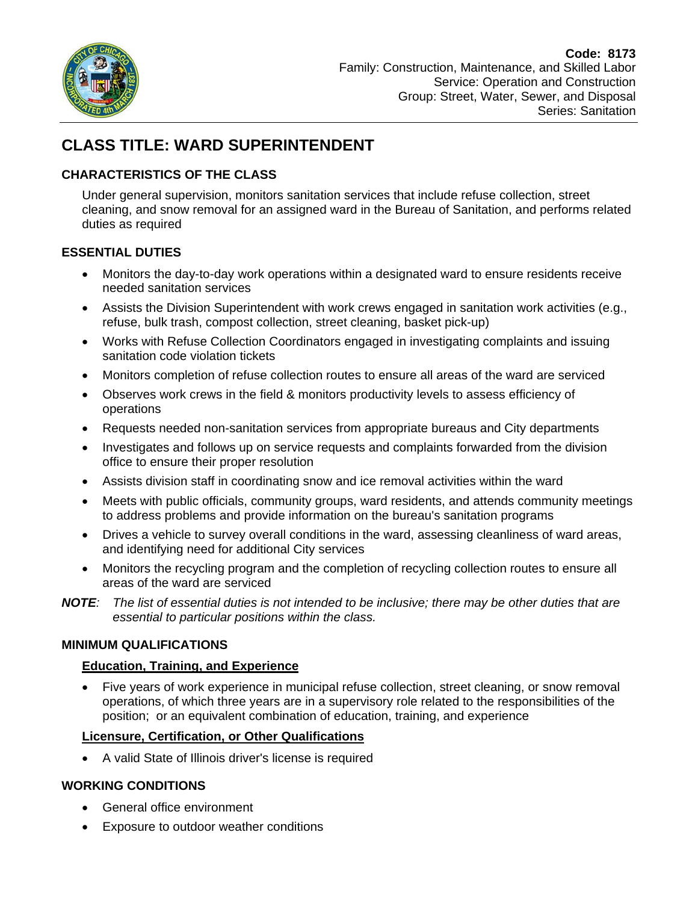

# **CLASS TITLE: WARD SUPERINTENDENT**

# **CHARACTERISTICS OF THE CLASS**

Under general supervision, monitors sanitation services that include refuse collection, street cleaning, and snow removal for an assigned ward in the Bureau of Sanitation, and performs related duties as required

## **ESSENTIAL DUTIES**

- Monitors the day-to-day work operations within a designated ward to ensure residents receive needed sanitation services
- Assists the Division Superintendent with work crews engaged in sanitation work activities (e.g., refuse, bulk trash, compost collection, street cleaning, basket pick-up)
- Works with Refuse Collection Coordinators engaged in investigating complaints and issuing sanitation code violation tickets
- Monitors completion of refuse collection routes to ensure all areas of the ward are serviced
- Observes work crews in the field & monitors productivity levels to assess efficiency of operations
- Requests needed non-sanitation services from appropriate bureaus and City departments
- office to ensure their proper resolution Investigates and follows up on service requests and complaints forwarded from the division
- Assists division staff in coordinating snow and ice removal activities within the ward
- Meets with public officials, community groups, ward residents, and attends community meetings to address problems and provide information on the bureau's sanitation programs
- Drives a vehicle to survey overall conditions in the ward, assessing cleanliness of ward areas, and identifying need for additional City services
- Monitors the recycling program and the completion of recycling collection routes to ensure all areas of the ward are serviced
- *NOTE: The list of essential duties is not intended to be inclusive; there may be other duties that are essential to particular positions within the class.*

## **MINIMUM QUALIFICATIONS**

## **Education, Training, and Experience**

 Five years of work experience in municipal refuse collection, street cleaning, or snow removal operations, of which three years are in a supervisory role related to the responsibilities of the position; or an equivalent combination of education, training, and experience

# **Licensure, Certification, or Other Qualifications**

A valid State of Illinois driver's license is required

# **WORKING CONDITIONS**

- General office environment
- Exposure to outdoor weather conditions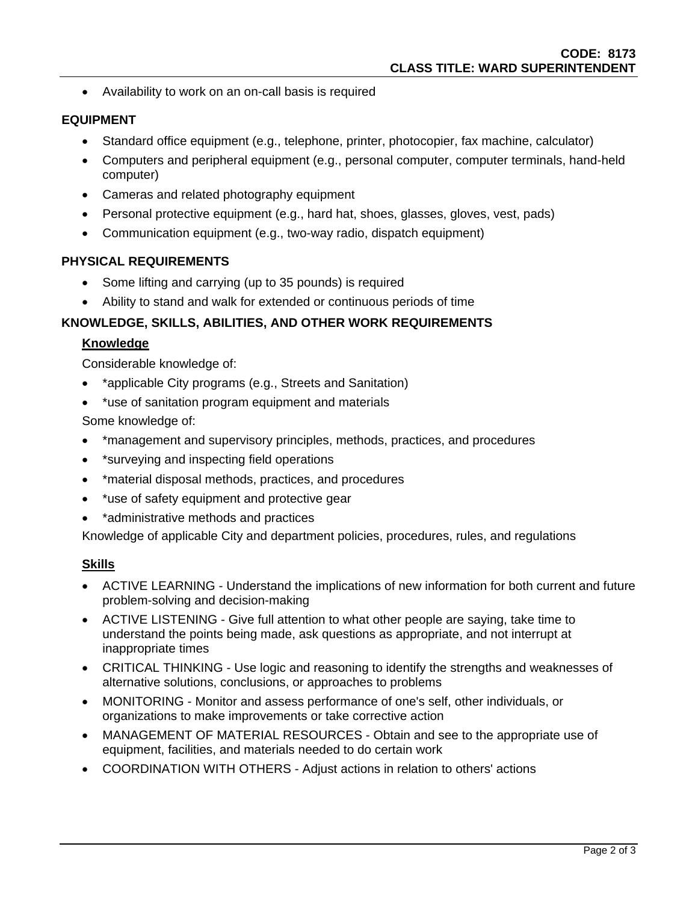Availability to work on an on-call basis is required

## **EQUIPMENT**

- Standard office equipment (e.g., telephone, printer, photocopier, fax machine, calculator)
- Computers and peripheral equipment (e.g., personal computer, computer terminals, hand-held computer)
- Cameras and related photography equipment
- Personal protective equipment (e.g., hard hat, shoes, glasses, gloves, vest, pads)
- Communication equipment (e.g., two-way radio, dispatch equipment)

#### **PHYSICAL REQUIREMENTS**

- Some lifting and carrying (up to 35 pounds) is required
- Ability to stand and walk for extended or continuous periods of time

## **KNOWLEDGE, SKILLS, ABILITIES, AND OTHER WORK REQUIREMENTS**

#### **Knowledge**

Considerable knowledge of:

- \*applicable City programs (e.g., Streets and Sanitation)
- \*use of sanitation program equipment and materials

Some knowledge of:

- \*management and supervisory principles, methods, practices, and procedures
- \*surveying and inspecting field operations
- \*material disposal methods, practices, and procedures
- \* use of safety equipment and protective gear
- \*administrative methods and practices

Knowledge of applicable City and department policies, procedures, rules, and regulations

#### **Skills**

- ACTIVE LEARNING Understand the implications of new information for both current and future problem-solving and decision-making
- ACTIVE LISTENING Give full attention to what other people are saying, take time to understand the points being made, ask questions as appropriate, and not interrupt at inappropriate times
- CRITICAL THINKING Use logic and reasoning to identify the strengths and weaknesses of alternative solutions, conclusions, or approaches to problems
- MONITORING Monitor and assess performance of one's self, other individuals, or organizations to make improvements or take corrective action
- MANAGEMENT OF MATERIAL RESOURCES Obtain and see to the appropriate use of equipment, facilities, and materials needed to do certain work
- COORDINATION WITH OTHERS Adjust actions in relation to others' actions